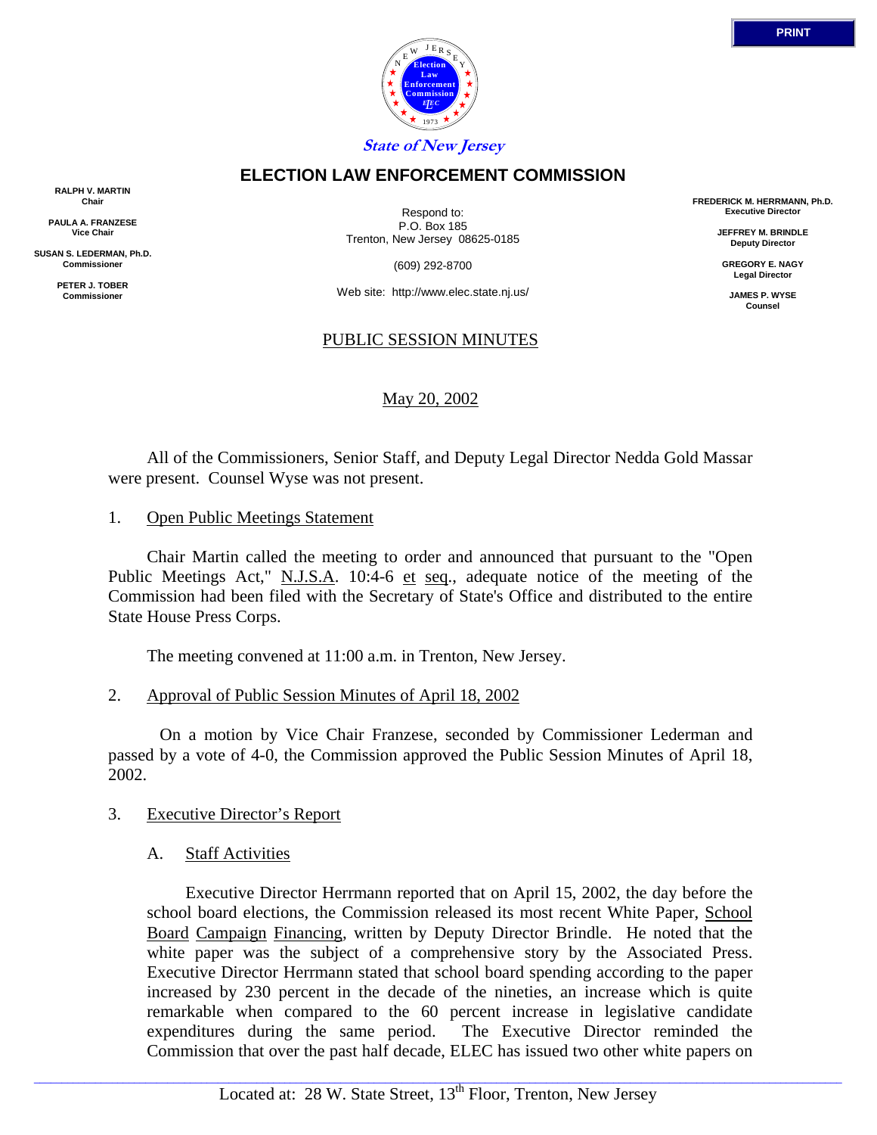

# **ELECTION LAW ENFORCEMENT COMMISSION**

**RALPH V. MARTIN Chair**

**PAULA A. FRANZESE Vice Chair**

**SUSAN S. LEDERMAN, Ph.D. Commissioner**

> **PETER J. TOBER Commissioner**

Respond to: P.O. Box 185 Trenton, New Jersey 08625-0185

(609) 292-8700

Web site: http://www.elec.state.nj.us/

# PUBLIC SESSION MINUTES

# May 20, 2002

 All of the Commissioners, Senior Staff, and Deputy Legal Director Nedda Gold Massar were present. Counsel Wyse was not present.

1. Open Public Meetings Statement

 Chair Martin called the meeting to order and announced that pursuant to the "Open Public Meetings Act," N.J.S.A. 10:4-6 et seq., adequate notice of the meeting of the Commission had been filed with the Secretary of State's Office and distributed to the entire State House Press Corps.

The meeting convened at 11:00 a.m. in Trenton, New Jersey.

2. Approval of Public Session Minutes of April 18, 2002

 On a motion by Vice Chair Franzese, seconded by Commissioner Lederman and passed by a vote of 4-0, the Commission approved the Public Session Minutes of April 18, 2002.

# 3. Executive Director's Report

A. Staff Activities

 Executive Director Herrmann reported that on April 15, 2002, the day before the school board elections, the Commission released its most recent White Paper, School Board Campaign Financing, written by Deputy Director Brindle. He noted that the white paper was the subject of a comprehensive story by the Associated Press. Executive Director Herrmann stated that school board spending according to the paper increased by 230 percent in the decade of the nineties, an increase which is quite remarkable when compared to the 60 percent increase in legislative candidate expenditures during the same period. The Executive Director reminded the Commission that over the past half decade, ELEC has issued two other white papers on

**FREDERICK M. HERRMANN, Ph.D. Executive Director**

> **JEFFREY M. BRINDLE Deputy Director**

**GREGORY E. NAGY Legal Director**

**JAMES P. WYSE Counsel**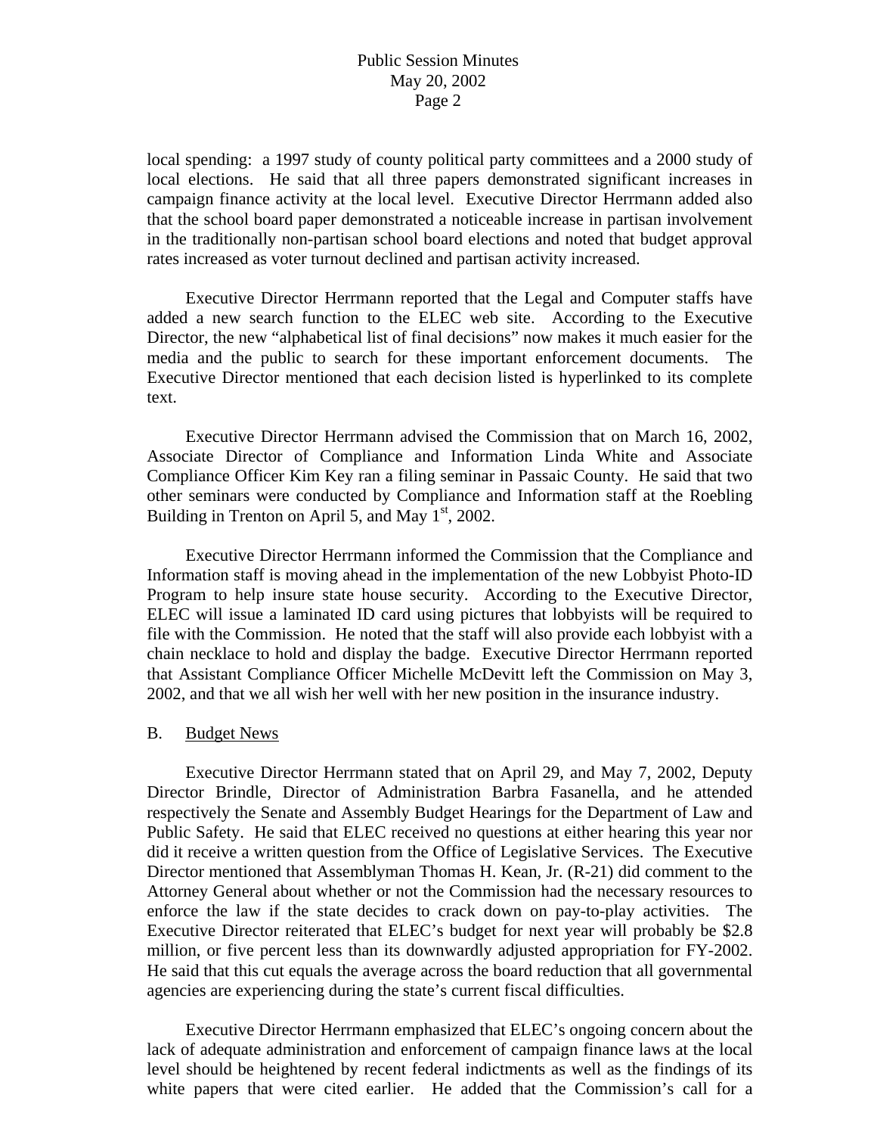local spending: a 1997 study of county political party committees and a 2000 study of local elections. He said that all three papers demonstrated significant increases in campaign finance activity at the local level. Executive Director Herrmann added also that the school board paper demonstrated a noticeable increase in partisan involvement in the traditionally non-partisan school board elections and noted that budget approval rates increased as voter turnout declined and partisan activity increased.

 Executive Director Herrmann reported that the Legal and Computer staffs have added a new search function to the ELEC web site. According to the Executive Director, the new "alphabetical list of final decisions" now makes it much easier for the media and the public to search for these important enforcement documents. The Executive Director mentioned that each decision listed is hyperlinked to its complete text.

 Executive Director Herrmann advised the Commission that on March 16, 2002, Associate Director of Compliance and Information Linda White and Associate Compliance Officer Kim Key ran a filing seminar in Passaic County. He said that two other seminars were conducted by Compliance and Information staff at the Roebling Building in Trenton on April 5, and May  $1<sup>st</sup>$ , 2002.

 Executive Director Herrmann informed the Commission that the Compliance and Information staff is moving ahead in the implementation of the new Lobbyist Photo-ID Program to help insure state house security. According to the Executive Director, ELEC will issue a laminated ID card using pictures that lobbyists will be required to file with the Commission. He noted that the staff will also provide each lobbyist with a chain necklace to hold and display the badge. Executive Director Herrmann reported that Assistant Compliance Officer Michelle McDevitt left the Commission on May 3, 2002, and that we all wish her well with her new position in the insurance industry.

#### B. Budget News

 Executive Director Herrmann stated that on April 29, and May 7, 2002, Deputy Director Brindle, Director of Administration Barbra Fasanella, and he attended respectively the Senate and Assembly Budget Hearings for the Department of Law and Public Safety. He said that ELEC received no questions at either hearing this year nor did it receive a written question from the Office of Legislative Services. The Executive Director mentioned that Assemblyman Thomas H. Kean, Jr. (R-21) did comment to the Attorney General about whether or not the Commission had the necessary resources to enforce the law if the state decides to crack down on pay-to-play activities. The Executive Director reiterated that ELEC's budget for next year will probably be \$2.8 million, or five percent less than its downwardly adjusted appropriation for FY-2002. He said that this cut equals the average across the board reduction that all governmental agencies are experiencing during the state's current fiscal difficulties.

 Executive Director Herrmann emphasized that ELEC's ongoing concern about the lack of adequate administration and enforcement of campaign finance laws at the local level should be heightened by recent federal indictments as well as the findings of its white papers that were cited earlier. He added that the Commission's call for a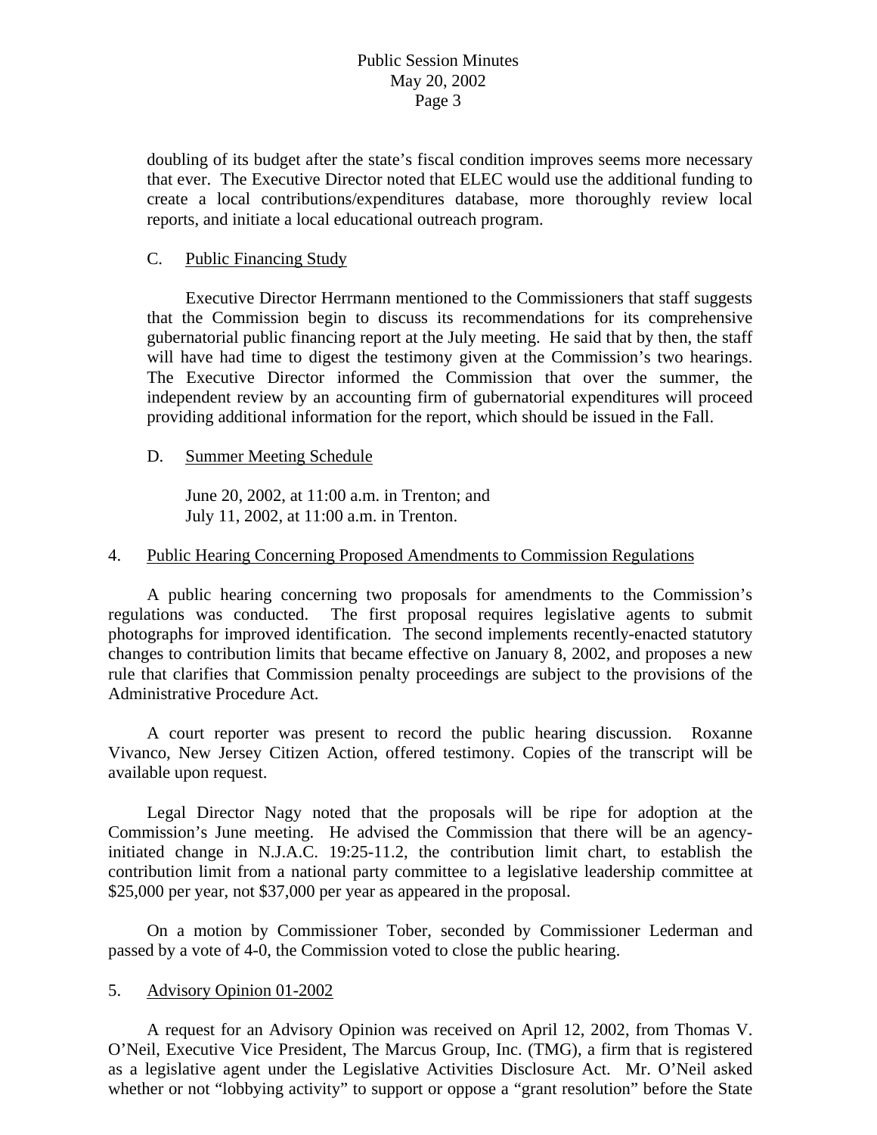doubling of its budget after the state's fiscal condition improves seems more necessary that ever. The Executive Director noted that ELEC would use the additional funding to create a local contributions/expenditures database, more thoroughly review local reports, and initiate a local educational outreach program.

### C. Public Financing Study

 Executive Director Herrmann mentioned to the Commissioners that staff suggests that the Commission begin to discuss its recommendations for its comprehensive gubernatorial public financing report at the July meeting. He said that by then, the staff will have had time to digest the testimony given at the Commission's two hearings. The Executive Director informed the Commission that over the summer, the independent review by an accounting firm of gubernatorial expenditures will proceed providing additional information for the report, which should be issued in the Fall.

### D. Summer Meeting Schedule

 June 20, 2002, at 11:00 a.m. in Trenton; and July 11, 2002, at 11:00 a.m. in Trenton.

### 4. Public Hearing Concerning Proposed Amendments to Commission Regulations

A public hearing concerning two proposals for amendments to the Commission's regulations was conducted. The first proposal requires legislative agents to submit photographs for improved identification. The second implements recently-enacted statutory changes to contribution limits that became effective on January 8, 2002, and proposes a new rule that clarifies that Commission penalty proceedings are subject to the provisions of the Administrative Procedure Act.

 A court reporter was present to record the public hearing discussion. Roxanne Vivanco, New Jersey Citizen Action, offered testimony. Copies of the transcript will be available upon request.

 Legal Director Nagy noted that the proposals will be ripe for adoption at the Commission's June meeting. He advised the Commission that there will be an agencyinitiated change in N.J.A.C. 19:25-11.2, the contribution limit chart, to establish the contribution limit from a national party committee to a legislative leadership committee at \$25,000 per year, not \$37,000 per year as appeared in the proposal.

 On a motion by Commissioner Tober, seconded by Commissioner Lederman and passed by a vote of 4-0, the Commission voted to close the public hearing.

#### 5. Advisory Opinion 01-2002

 A request for an Advisory Opinion was received on April 12, 2002, from Thomas V. O'Neil, Executive Vice President, The Marcus Group, Inc. (TMG), a firm that is registered as a legislative agent under the Legislative Activities Disclosure Act. Mr. O'Neil asked whether or not "lobbying activity" to support or oppose a "grant resolution" before the State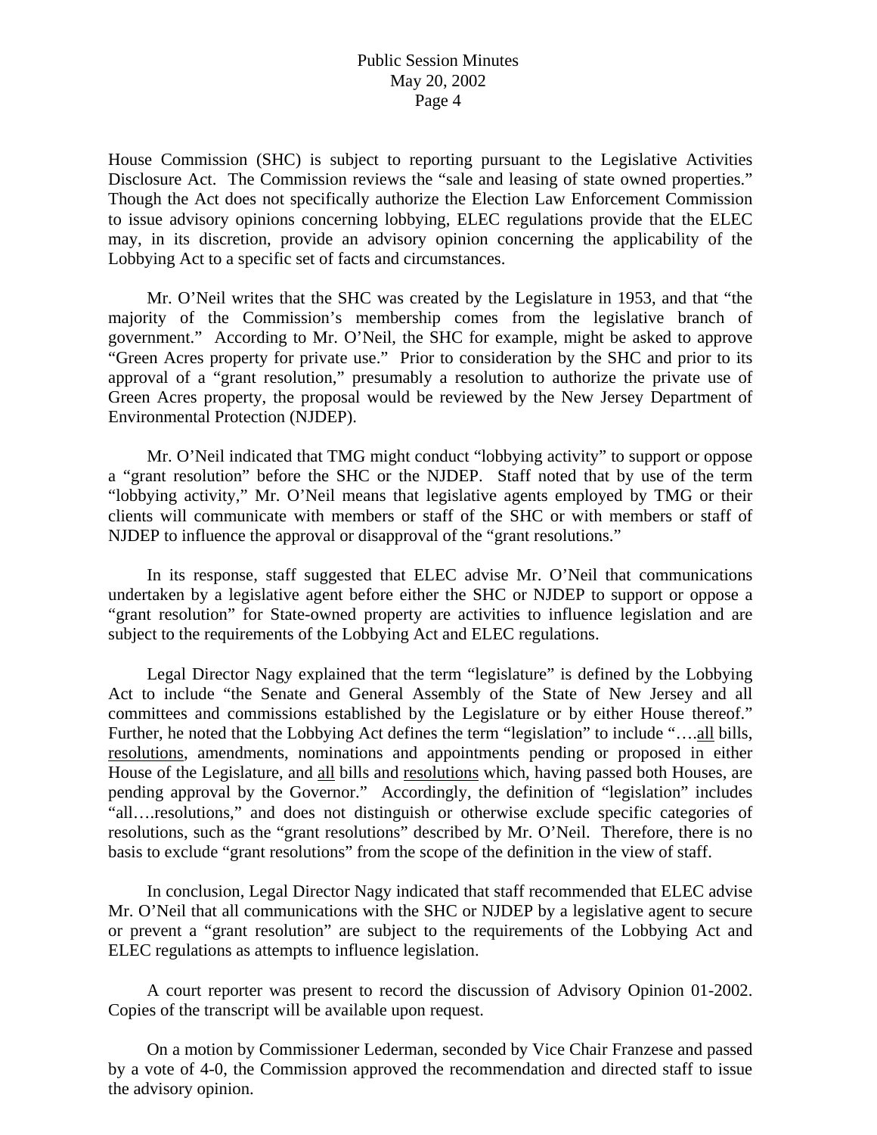# Public Session Minutes May 20, 2002 Page 4

House Commission (SHC) is subject to reporting pursuant to the Legislative Activities Disclosure Act. The Commission reviews the "sale and leasing of state owned properties." Though the Act does not specifically authorize the Election Law Enforcement Commission to issue advisory opinions concerning lobbying, ELEC regulations provide that the ELEC may, in its discretion, provide an advisory opinion concerning the applicability of the Lobbying Act to a specific set of facts and circumstances.

 Mr. O'Neil writes that the SHC was created by the Legislature in 1953, and that "the majority of the Commission's membership comes from the legislative branch of government." According to Mr. O'Neil, the SHC for example, might be asked to approve "Green Acres property for private use." Prior to consideration by the SHC and prior to its approval of a "grant resolution," presumably a resolution to authorize the private use of Green Acres property, the proposal would be reviewed by the New Jersey Department of Environmental Protection (NJDEP).

 Mr. O'Neil indicated that TMG might conduct "lobbying activity" to support or oppose a "grant resolution" before the SHC or the NJDEP. Staff noted that by use of the term "lobbying activity," Mr. O'Neil means that legislative agents employed by TMG or their clients will communicate with members or staff of the SHC or with members or staff of NJDEP to influence the approval or disapproval of the "grant resolutions."

 In its response, staff suggested that ELEC advise Mr. O'Neil that communications undertaken by a legislative agent before either the SHC or NJDEP to support or oppose a "grant resolution" for State-owned property are activities to influence legislation and are subject to the requirements of the Lobbying Act and ELEC regulations.

 Legal Director Nagy explained that the term "legislature" is defined by the Lobbying Act to include "the Senate and General Assembly of the State of New Jersey and all committees and commissions established by the Legislature or by either House thereof." Further, he noted that the Lobbying Act defines the term "legislation" to include "....all bills, resolutions, amendments, nominations and appointments pending or proposed in either House of the Legislature, and all bills and resolutions which, having passed both Houses, are pending approval by the Governor." Accordingly, the definition of "legislation" includes "all….resolutions," and does not distinguish or otherwise exclude specific categories of resolutions, such as the "grant resolutions" described by Mr. O'Neil. Therefore, there is no basis to exclude "grant resolutions" from the scope of the definition in the view of staff.

 In conclusion, Legal Director Nagy indicated that staff recommended that ELEC advise Mr. O'Neil that all communications with the SHC or NJDEP by a legislative agent to secure or prevent a "grant resolution" are subject to the requirements of the Lobbying Act and ELEC regulations as attempts to influence legislation.

 A court reporter was present to record the discussion of Advisory Opinion 01-2002. Copies of the transcript will be available upon request.

 On a motion by Commissioner Lederman, seconded by Vice Chair Franzese and passed by a vote of 4-0, the Commission approved the recommendation and directed staff to issue the advisory opinion.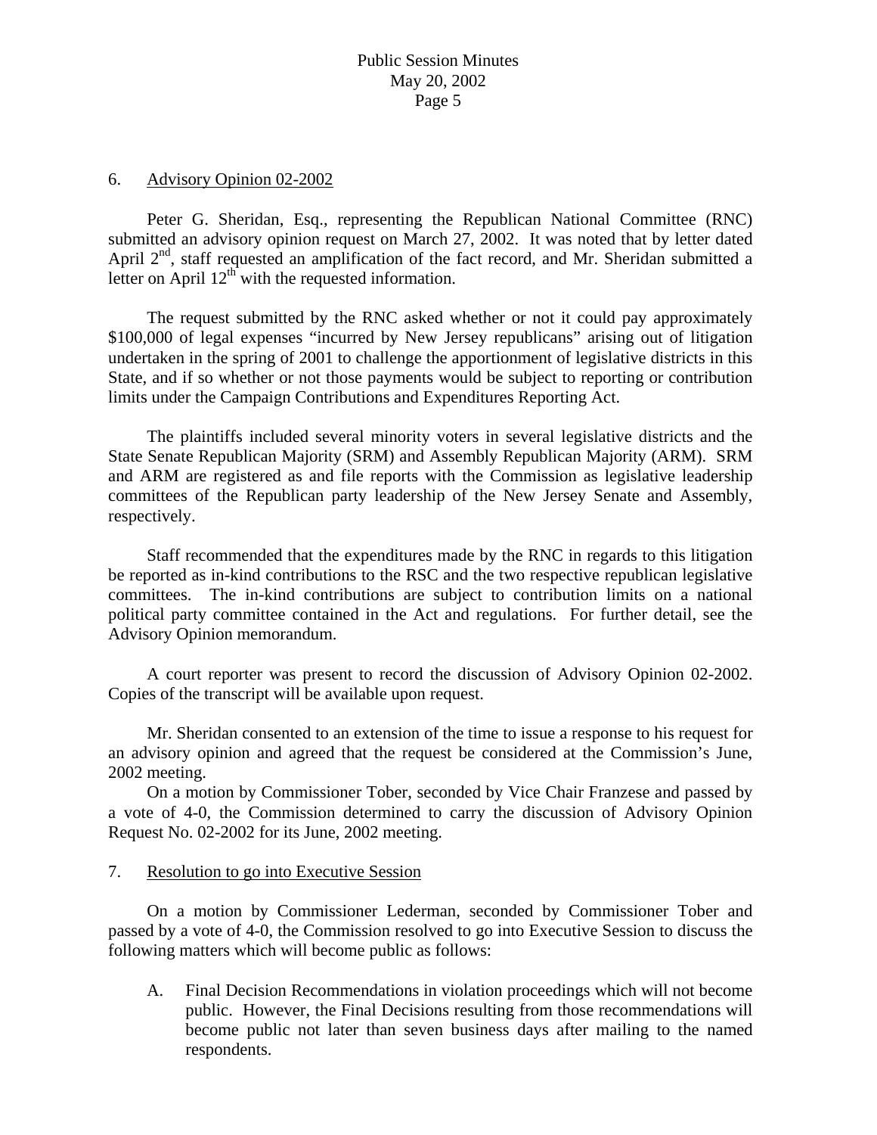#### 6. Advisory Opinion 02-2002

 Peter G. Sheridan, Esq., representing the Republican National Committee (RNC) submitted an advisory opinion request on March 27, 2002. It was noted that by letter dated April  $2<sup>nd</sup>$ , staff requested an amplification of the fact record, and Mr. Sheridan submitted a letter on April  $12<sup>th</sup>$  with the requested information.

 The request submitted by the RNC asked whether or not it could pay approximately \$100,000 of legal expenses "incurred by New Jersey republicans" arising out of litigation undertaken in the spring of 2001 to challenge the apportionment of legislative districts in this State, and if so whether or not those payments would be subject to reporting or contribution limits under the Campaign Contributions and Expenditures Reporting Act.

 The plaintiffs included several minority voters in several legislative districts and the State Senate Republican Majority (SRM) and Assembly Republican Majority (ARM). SRM and ARM are registered as and file reports with the Commission as legislative leadership committees of the Republican party leadership of the New Jersey Senate and Assembly, respectively.

 Staff recommended that the expenditures made by the RNC in regards to this litigation be reported as in-kind contributions to the RSC and the two respective republican legislative committees. The in-kind contributions are subject to contribution limits on a national political party committee contained in the Act and regulations. For further detail, see the Advisory Opinion memorandum.

 A court reporter was present to record the discussion of Advisory Opinion 02-2002. Copies of the transcript will be available upon request.

 Mr. Sheridan consented to an extension of the time to issue a response to his request for an advisory opinion and agreed that the request be considered at the Commission's June, 2002 meeting.

 On a motion by Commissioner Tober, seconded by Vice Chair Franzese and passed by a vote of 4-0, the Commission determined to carry the discussion of Advisory Opinion Request No. 02-2002 for its June, 2002 meeting.

# 7. Resolution to go into Executive Session

 On a motion by Commissioner Lederman, seconded by Commissioner Tober and passed by a vote of 4-0, the Commission resolved to go into Executive Session to discuss the following matters which will become public as follows:

A. Final Decision Recommendations in violation proceedings which will not become public. However, the Final Decisions resulting from those recommendations will become public not later than seven business days after mailing to the named respondents.